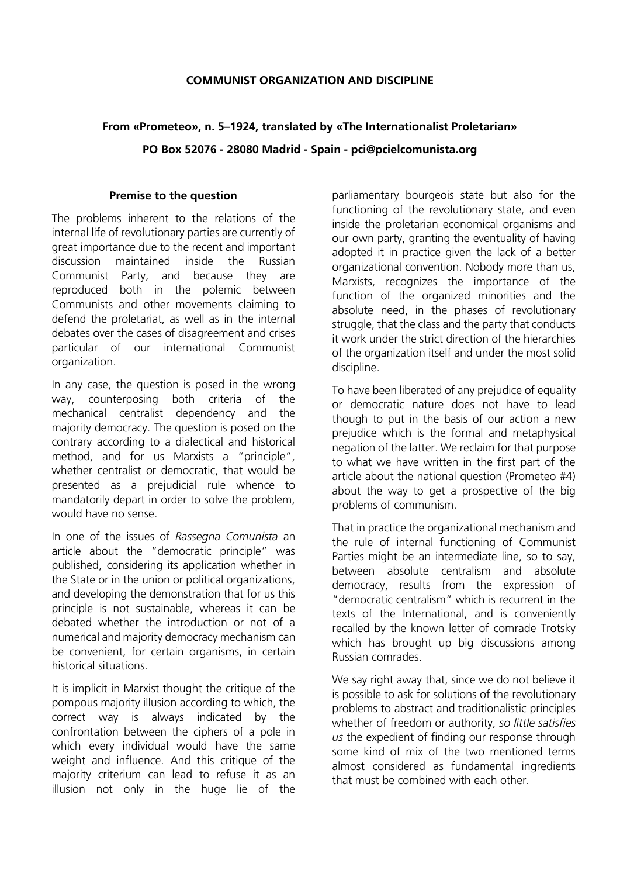## **COMMUNIST ORGANIZATION AND DISCIPLINE**

## **From «Prometeo», n. 5–1924, translated by «The Internationalist Proletarian»**

**PO Box 52076 - 28080 Madrid - Spain - pci@pcielcomunista.org**

## **Premise to the question**

The problems inherent to the relations of the internal life of revolutionary parties are currently of great importance due to the recent and important discussion maintained inside the Russian Communist Party, and because they are reproduced both in the polemic between Communists and other movements claiming to defend the proletariat, as well as in the internal debates over the cases of disagreement and crises particular of our international Communist organization.

In any case, the question is posed in the wrong way, counterposing both criteria of the mechanical centralist dependency and the majority democracy. The question is posed on the contrary according to a dialectical and historical method, and for us Marxists a "principle", whether centralist or democratic, that would be presented as a prejudicial rule whence to mandatorily depart in order to solve the problem, would have no sense.

In one of the issues of *Rassegna Comunista* an article about the "democratic principle" was published, considering its application whether in the State or in the union or political organizations, and developing the demonstration that for us this principle is not sustainable, whereas it can be debated whether the introduction or not of a numerical and majority democracy mechanism can be convenient, for certain organisms, in certain historical situations.

It is implicit in Marxist thought the critique of the pompous majority illusion according to which, the correct way is always indicated by the confrontation between the ciphers of a pole in which every individual would have the same weight and influence. And this critique of the majority criterium can lead to refuse it as an illusion not only in the huge lie of the parliamentary bourgeois state but also for the functioning of the revolutionary state, and even inside the proletarian economical organisms and our own party, granting the eventuality of having adopted it in practice given the lack of a better organizational convention. Nobody more than us, Marxists, recognizes the importance of the function of the organized minorities and the absolute need, in the phases of revolutionary struggle, that the class and the party that conducts it work under the strict direction of the hierarchies of the organization itself and under the most solid discipline.

To have been liberated of any prejudice of equality or democratic nature does not have to lead though to put in the basis of our action a new prejudice which is the formal and metaphysical negation of the latter. We reclaim for that purpose to what we have written in the first part of the article about the national question (Prometeo #4) about the way to get a prospective of the big problems of communism.

That in practice the organizational mechanism and the rule of internal functioning of Communist Parties might be an intermediate line, so to say, between absolute centralism and absolute democracy, results from the expression of "democratic centralism" which is recurrent in the texts of the International, and is conveniently recalled by the known letter of comrade Trotsky which has brought up big discussions among Russian comrades.

We say right away that, since we do not believe it is possible to ask for solutions of the revolutionary problems to abstract and traditionalistic principles whether of freedom or authority, *so little satisfies us* the expedient of finding our response through some kind of mix of the two mentioned terms almost considered as fundamental ingredients that must be combined with each other.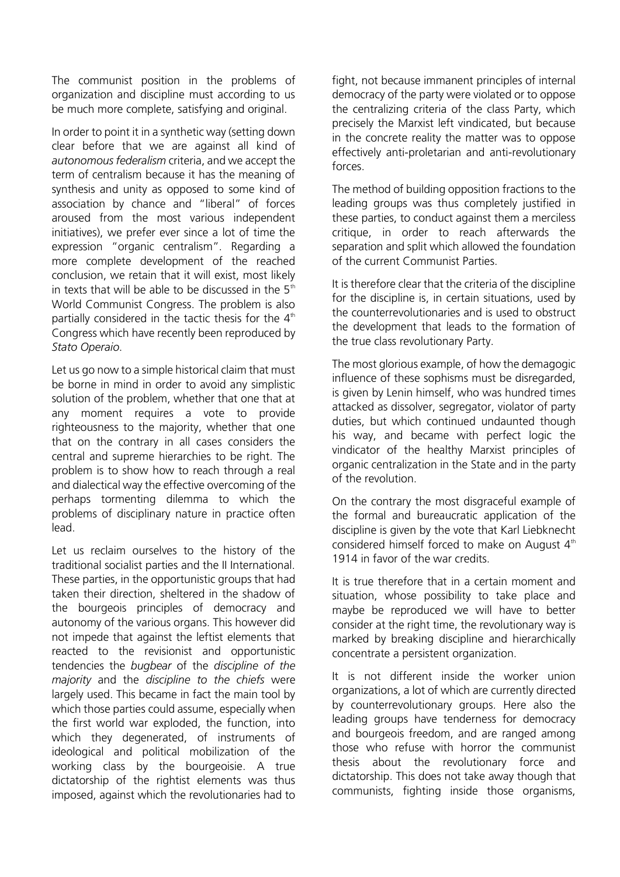The communist position in the problems of organization and discipline must according to us be much more complete, satisfying and original.

In order to point it in a synthetic way (setting down clear before that we are against all kind of *autonomous federalism* criteria, and we accept the term of centralism because it has the meaning of synthesis and unity as opposed to some kind of association by chance and "liberal" of forces aroused from the most various independent initiatives), we prefer ever since a lot of time the expression "organic centralism". Regarding a more complete development of the reached conclusion, we retain that it will exist, most likely in texts that will be able to be discussed in the  $5<sup>th</sup>$ World Communist Congress. The problem is also partially considered in the tactic thesis for the  $4<sup>th</sup>$ Congress which have recently been reproduced by *Stato Operaio*.

Let us go now to a simple historical claim that must be borne in mind in order to avoid any simplistic solution of the problem, whether that one that at any moment requires a vote to provide righteousness to the majority, whether that one that on the contrary in all cases considers the central and supreme hierarchies to be right. The problem is to show how to reach through a real and dialectical way the effective overcoming of the perhaps tormenting dilemma to which the problems of disciplinary nature in practice often lead.

Let us reclaim ourselves to the history of the traditional socialist parties and the II International. These parties, in the opportunistic groups that had taken their direction, sheltered in the shadow of the bourgeois principles of democracy and autonomy of the various organs. This however did not impede that against the leftist elements that reacted to the revisionist and opportunistic tendencies the *bugbear* of the *discipline of the majority* and the *discipline to the chiefs* were largely used. This became in fact the main tool by which those parties could assume, especially when the first world war exploded, the function, into which they degenerated, of instruments of ideological and political mobilization of the working class by the bourgeoisie. A true dictatorship of the rightist elements was thus imposed, against which the revolutionaries had to

fight, not because immanent principles of internal democracy of the party were violated or to oppose the centralizing criteria of the class Party, which precisely the Marxist left vindicated, but because in the concrete reality the matter was to oppose effectively anti-proletarian and anti-revolutionary forces.

The method of building opposition fractions to the leading groups was thus completely justified in these parties, to conduct against them a merciless critique, in order to reach afterwards the separation and split which allowed the foundation of the current Communist Parties.

It is therefore clear that the criteria of the discipline for the discipline is, in certain situations, used by the counterrevolutionaries and is used to obstruct the development that leads to the formation of the true class revolutionary Party.

The most glorious example, of how the demagogic influence of these sophisms must be disregarded, is given by Lenin himself, who was hundred times attacked as dissolver, segregator, violator of party duties, but which continued undaunted though his way, and became with perfect logic the vindicator of the healthy Marxist principles of organic centralization in the State and in the party of the revolution.

On the contrary the most disgraceful example of the formal and bureaucratic application of the discipline is given by the vote that Karl Liebknecht considered himself forced to make on August  $4<sup>th</sup>$ 1914 in favor of the war credits.

It is true therefore that in a certain moment and situation, whose possibility to take place and maybe be reproduced we will have to better consider at the right time, the revolutionary way is marked by breaking discipline and hierarchically concentrate a persistent organization.

It is not different inside the worker union organizations, a lot of which are currently directed by counterrevolutionary groups. Here also the leading groups have tenderness for democracy and bourgeois freedom, and are ranged among those who refuse with horror the communist thesis about the revolutionary force and dictatorship. This does not take away though that communists, fighting inside those organisms,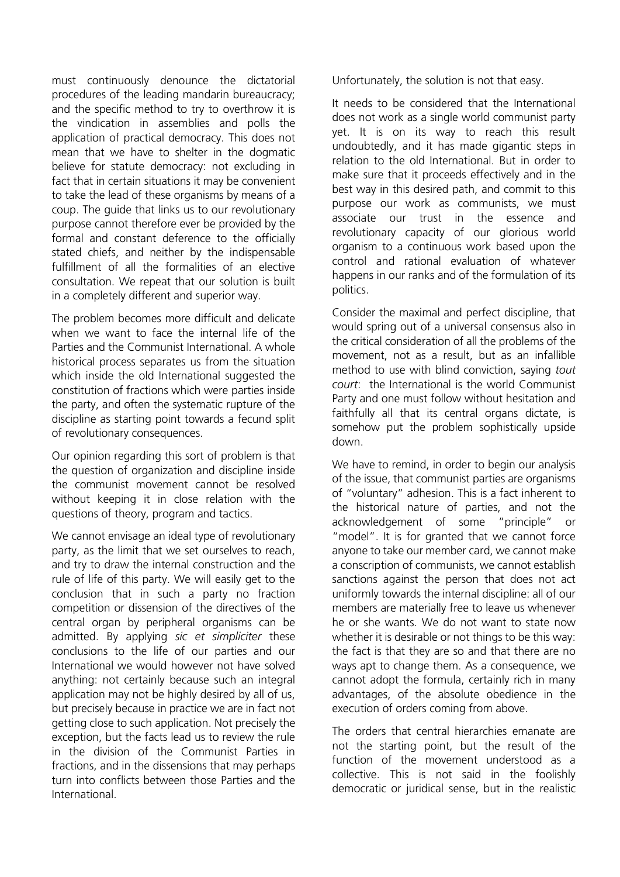must continuously denounce the dictatorial procedures of the leading mandarin bureaucracy; and the specific method to try to overthrow it is the vindication in assemblies and polls the application of practical democracy. This does not mean that we have to shelter in the dogmatic believe for statute democracy: not excluding in fact that in certain situations it may be convenient to take the lead of these organisms by means of a coup. The guide that links us to our revolutionary purpose cannot therefore ever be provided by the formal and constant deference to the officially stated chiefs, and neither by the indispensable fulfillment of all the formalities of an elective consultation. We repeat that our solution is built in a completely different and superior way.

The problem becomes more difficult and delicate when we want to face the internal life of the Parties and the Communist International. A whole historical process separates us from the situation which inside the old International suggested the constitution of fractions which were parties inside the party, and often the systematic rupture of the discipline as starting point towards a fecund split of revolutionary consequences.

Our opinion regarding this sort of problem is that the question of organization and discipline inside the communist movement cannot be resolved without keeping it in close relation with the questions of theory, program and tactics.

We cannot envisage an ideal type of revolutionary party, as the limit that we set ourselves to reach, and try to draw the internal construction and the rule of life of this party. We will easily get to the conclusion that in such a party no fraction competition or dissension of the directives of the central organ by peripheral organisms can be admitted. By applying *sic et simpliciter* these conclusions to the life of our parties and our International we would however not have solved anything: not certainly because such an integral application may not be highly desired by all of us, but precisely because in practice we are in fact not getting close to such application. Not precisely the exception, but the facts lead us to review the rule in the division of the Communist Parties in fractions, and in the dissensions that may perhaps turn into conflicts between those Parties and the International.

Unfortunately, the solution is not that easy.

It needs to be considered that the International does not work as a single world communist party yet. It is on its way to reach this result undoubtedly, and it has made gigantic steps in relation to the old International. But in order to make sure that it proceeds effectively and in the best way in this desired path, and commit to this purpose our work as communists, we must associate our trust in the essence and revolutionary capacity of our glorious world organism to a continuous work based upon the control and rational evaluation of whatever happens in our ranks and of the formulation of its politics.

Consider the maximal and perfect discipline, that would spring out of a universal consensus also in the critical consideration of all the problems of the movement, not as a result, but as an infallible method to use with blind conviction, saying *tout court*: the International is the world Communist Party and one must follow without hesitation and faithfully all that its central organs dictate, is somehow put the problem sophistically upside down.

We have to remind, in order to begin our analysis of the issue, that communist parties are organisms of "voluntary" adhesion. This is a fact inherent to the historical nature of parties, and not the acknowledgement of some "principle" or "model". It is for granted that we cannot force anyone to take our member card, we cannot make a conscription of communists, we cannot establish sanctions against the person that does not act uniformly towards the internal discipline: all of our members are materially free to leave us whenever he or she wants. We do not want to state now whether it is desirable or not things to be this way: the fact is that they are so and that there are no ways apt to change them. As a consequence, we cannot adopt the formula, certainly rich in many advantages, of the absolute obedience in the execution of orders coming from above.

The orders that central hierarchies emanate are not the starting point, but the result of the function of the movement understood as a collective. This is not said in the foolishly democratic or juridical sense, but in the realistic